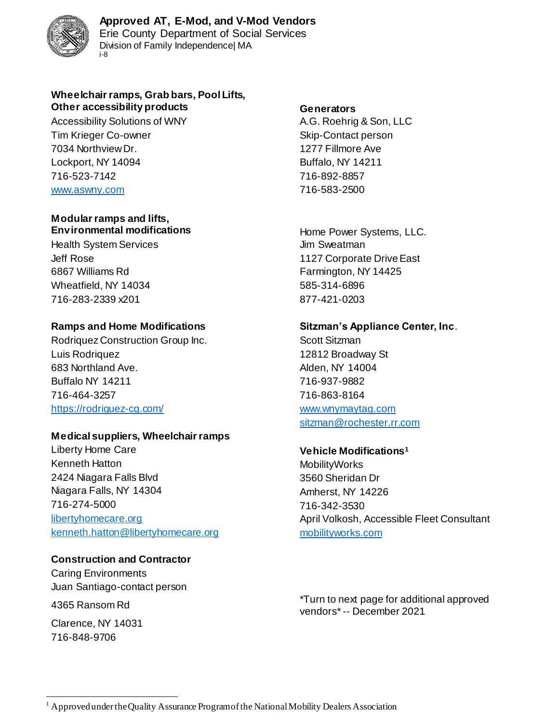

Division of Family Independence| MA i-8

### **Wheelchair ramps, Grab bars, Pool Lifts, Other accessibility products Generators**

Accessibility Solutions of WNY **A.G. Roehrig & Son, LLC** Tim Krieger Co-owner Skip-Contact person 7034 Northview Dr. 1277 Fillmore Ave Lockport, NY 14094 Buffalo, NY 14211 716-523-7142 716-892-8857 [www.aswny.com](http://www.aswny.com/) 716-583-2500

### **Modular ramps and lifts, Environmental modifications Environmental modifications Home Power Systems, LLC.**

Health System Services **Alternative System Services** Jim Sweatman 6867 Williams Rd **Farmington, NY 14425** Wheatfield, NY 14034 585-314-6896 716-283-2339 x201 877-421-0203

Rodriquez Construction Group Inc. Scott Sitzman Luis Rodriquez 12812 Broadway St 683 Northland Ave. **Alden**, NY 14004 Buffalo NY 14211 716-937-9882 716-464-3257 716-863-8164 <https://rodriguez-cg.com/> [www.wnymaytag.com](http://www.wnymaytag.com/)

# **Medical suppliers, Wheelchair ramps**

Liberty Home Care **Vehicle Modifications<sup>1</sup>** Kenneth Hatton **MobilityWorks** 2424 Niagara Falls Blvd 3560 Sheridan Dr Niagara Falls, NY 14304 Million Communication Amherst, NY 14226 716-274-5000 716-342-3530 kenneth.hatton@libertyhomecare.org [mobilityworks.com](https://www.mobilityworks.com/)

# **Construction and Contractor**

Caring Environments Juan Santiago-contact person

Clarence, NY 14031 716-848-9706

Jeff Rose 1127 Corporate Drive East

# **Ramps and Home Modifications Sitzman's Appliance Center, Inc**.

[sitzman@rochester.rr.com](mailto:sitzman@rochester.rr.com)

libertyhomecare.org and accessible Fleet Consultant

4365 Ransom Rd \*Turn to next page for additional approved vendors\*-- December 2021

l  $<sup>1</sup>$  Approved under the Quality Assurance Program of the National Mobility Dealers Association</sup>